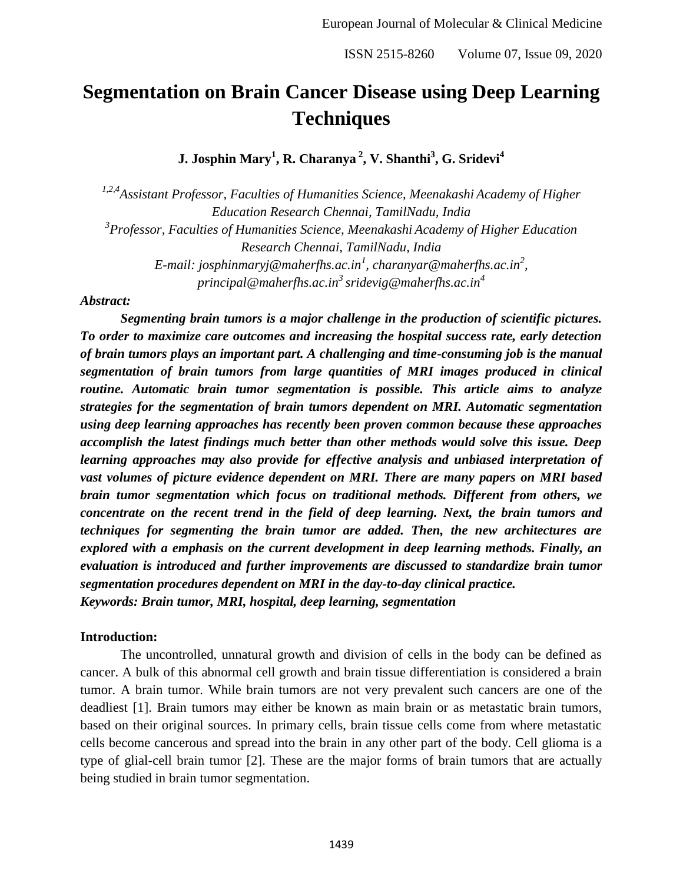# **Segmentation on Brain Cancer Disease using Deep Learning Techniques**

**J. Josphin Mary<sup>1</sup> , R. Charanya <sup>2</sup> , V. Shanthi<sup>3</sup> , G. Sridevi<sup>4</sup>**

*1,2,4 Assistant Professor, Faculties of Humanities Science, Meenakashi Academy of Higher Education Research Chennai, TamilNadu, India 3 Professor, Faculties of Humanities Science, Meenakashi Academy of Higher Education Research Chennai, TamilNadu, India E-mail: josphinmaryj@maherfhs.ac.in<sup>1</sup> , charanyar@maherfhs.ac.in<sup>2</sup> , principal@maherfhs.ac.in<sup>3</sup> sridevig@maherfhs.ac.in<sup>4</sup>*

#### *Abstract:*

*Segmenting brain tumors is a major challenge in the production of scientific pictures. To order to maximize care outcomes and increasing the hospital success rate, early detection of brain tumors plays an important part. A challenging and time-consuming job is the manual segmentation of brain tumors from large quantities of MRI images produced in clinical routine. Automatic brain tumor segmentation is possible. This article aims to analyze strategies for the segmentation of brain tumors dependent on MRI. Automatic segmentation using deep learning approaches has recently been proven common because these approaches accomplish the latest findings much better than other methods would solve this issue. Deep learning approaches may also provide for effective analysis and unbiased interpretation of vast volumes of picture evidence dependent on MRI. There are many papers on MRI based brain tumor segmentation which focus on traditional methods. Different from others, we concentrate on the recent trend in the field of deep learning. Next, the brain tumors and techniques for segmenting the brain tumor are added. Then, the new architectures are explored with a emphasis on the current development in deep learning methods. Finally, an evaluation is introduced and further improvements are discussed to standardize brain tumor segmentation procedures dependent on MRI in the day-to-day clinical practice. Keywords: Brain tumor, MRI, hospital, deep learning, segmentation* 

#### **Introduction:**

The uncontrolled, unnatural growth and division of cells in the body can be defined as cancer. A bulk of this abnormal cell growth and brain tissue differentiation is considered a brain tumor. A brain tumor. While brain tumors are not very prevalent such cancers are one of the deadliest [1]. Brain tumors may either be known as main brain or as metastatic brain tumors, based on their original sources. In primary cells, brain tissue cells come from where metastatic cells become cancerous and spread into the brain in any other part of the body. Cell glioma is a type of glial-cell brain tumor [2]. These are the major forms of brain tumors that are actually being studied in brain tumor segmentation.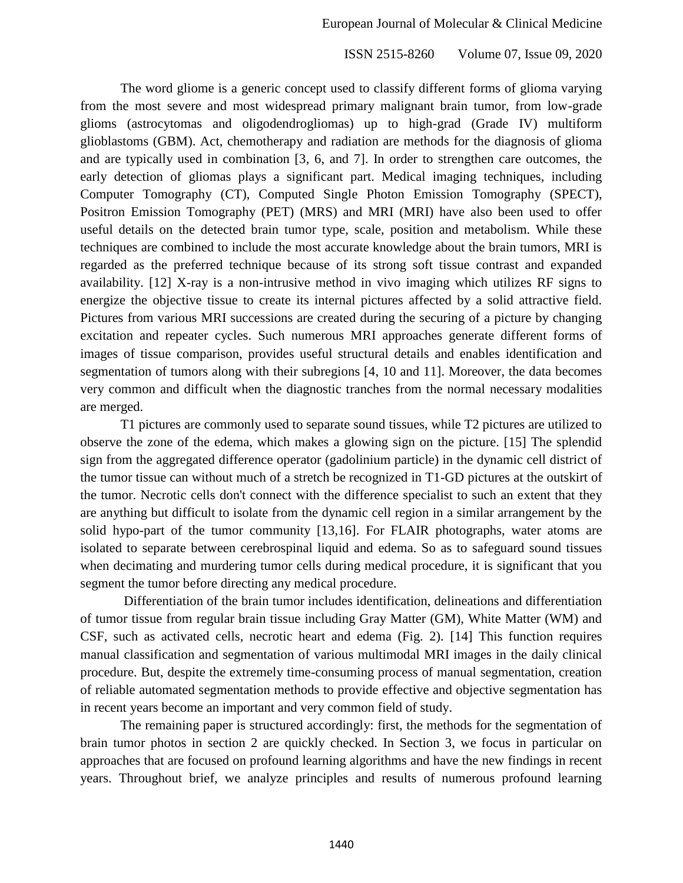The word gliome is a generic concept used to classify different forms of glioma varying from the most severe and most widespread primary malignant brain tumor, from low-grade glioms (astrocytomas and oligodendrogliomas) up to high-grad (Grade IV) multiform glioblastoms (GBM). Act, chemotherapy and radiation are methods for the diagnosis of glioma and are typically used in combination [3, 6, and 7]. In order to strengthen care outcomes, the early detection of gliomas plays a significant part. Medical imaging techniques, including Computer Tomography (CT), Computed Single Photon Emission Tomography (SPECT), Positron Emission Tomography (PET) (MRS) and MRI (MRI) have also been used to offer useful details on the detected brain tumor type, scale, position and metabolism. While these techniques are combined to include the most accurate knowledge about the brain tumors, MRI is regarded as the preferred technique because of its strong soft tissue contrast and expanded availability. [12] X-ray is a non-intrusive method in vivo imaging which utilizes RF signs to energize the objective tissue to create its internal pictures affected by a solid attractive field. Pictures from various MRI successions are created during the securing of a picture by changing excitation and repeater cycles. Such numerous MRI approaches generate different forms of images of tissue comparison, provides useful structural details and enables identification and segmentation of tumors along with their subregions [4, 10 and 11]. Moreover, the data becomes very common and difficult when the diagnostic tranches from the normal necessary modalities are merged.

T1 pictures are commonly used to separate sound tissues, while T2 pictures are utilized to observe the zone of the edema, which makes a glowing sign on the picture. [15] The splendid sign from the aggregated difference operator (gadolinium particle) in the dynamic cell district of the tumor tissue can without much of a stretch be recognized in T1-GD pictures at the outskirt of the tumor. Necrotic cells don't connect with the difference specialist to such an extent that they are anything but difficult to isolate from the dynamic cell region in a similar arrangement by the solid hypo-part of the tumor community [13,16]. For FLAIR photographs, water atoms are isolated to separate between cerebrospinal liquid and edema. So as to safeguard sound tissues when decimating and murdering tumor cells during medical procedure, it is significant that you segment the tumor before directing any medical procedure.

Differentiation of the brain tumor includes identification, delineations and differentiation of tumor tissue from regular brain tissue including Gray Matter (GM), White Matter (WM) and CSF, such as activated cells, necrotic heart and edema (Fig. 2). [14] This function requires manual classification and segmentation of various multimodal MRI images in the daily clinical procedure. But, despite the extremely time-consuming process of manual segmentation, creation of reliable automated segmentation methods to provide effective and objective segmentation has in recent years become an important and very common field of study.

The remaining paper is structured accordingly: first, the methods for the segmentation of brain tumor photos in section 2 are quickly checked. In Section 3, we focus in particular on approaches that are focused on profound learning algorithms and have the new findings in recent years. Throughout brief, we analyze principles and results of numerous profound learning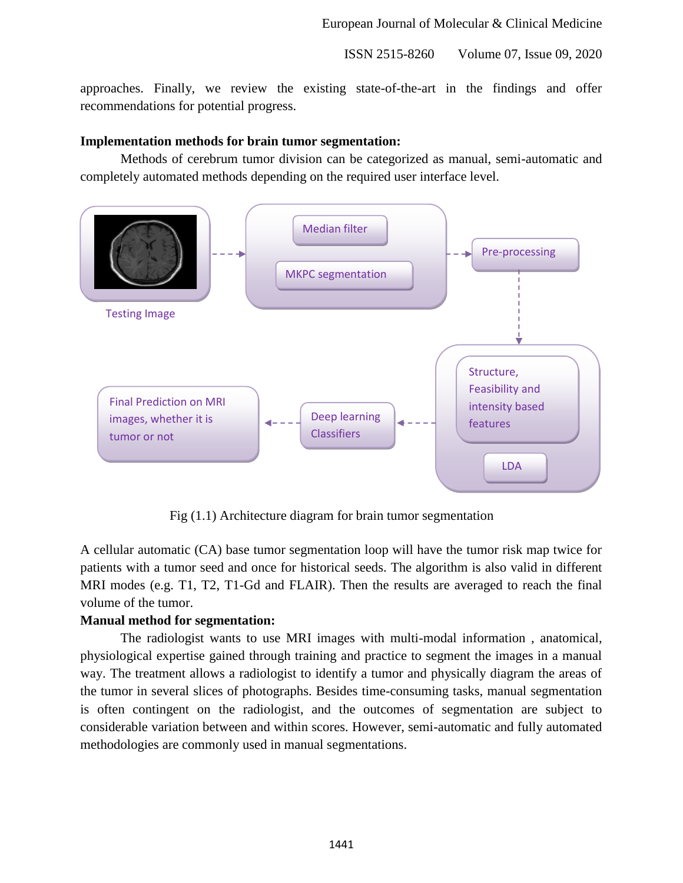approaches. Finally, we review the existing state-of-the-art in the findings and offer recommendations for potential progress.

#### **Implementation methods for brain tumor segmentation:**

Methods of cerebrum tumor division can be categorized as manual, semi-automatic and completely automated methods depending on the required user interface level.



Fig (1.1) Architecture diagram for brain tumor segmentation

A cellular automatic (CA) base tumor segmentation loop will have the tumor risk map twice for patients with a tumor seed and once for historical seeds. The algorithm is also valid in different MRI modes (e.g. T1, T2, T1-Gd and FLAIR). Then the results are averaged to reach the final volume of the tumor.

# **Manual method for segmentation:**

The radiologist wants to use MRI images with multi-modal information , anatomical, physiological expertise gained through training and practice to segment the images in a manual way. The treatment allows a radiologist to identify a tumor and physically diagram the areas of the tumor in several slices of photographs. Besides time-consuming tasks, manual segmentation is often contingent on the radiologist, and the outcomes of segmentation are subject to considerable variation between and within scores. However, semi-automatic and fully automated methodologies are commonly used in manual segmentations.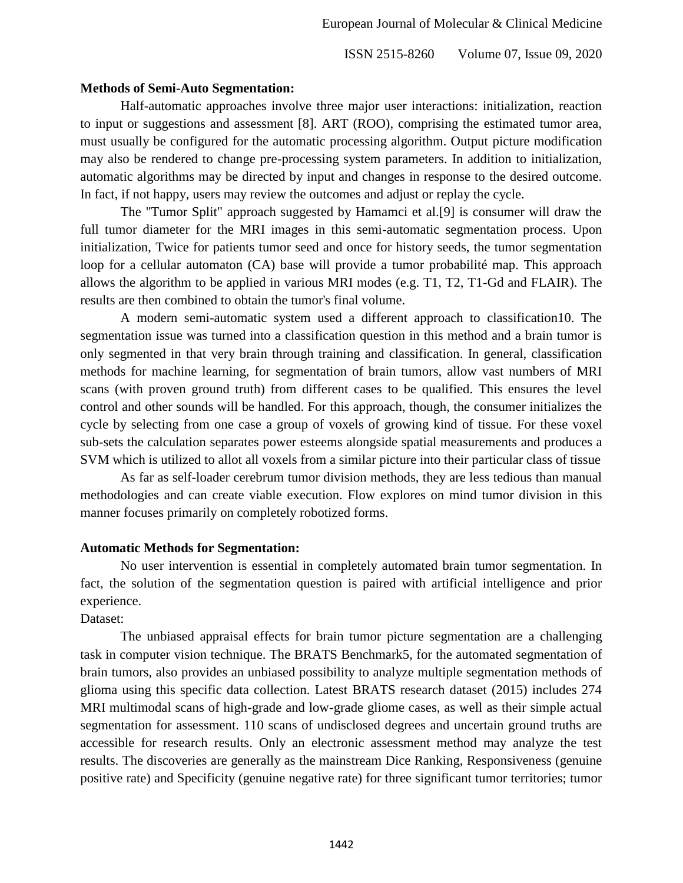#### **Methods of Semi-Auto Segmentation:**

Half-automatic approaches involve three major user interactions: initialization, reaction to input or suggestions and assessment [8]. ART (ROO), comprising the estimated tumor area, must usually be configured for the automatic processing algorithm. Output picture modification may also be rendered to change pre-processing system parameters. In addition to initialization, automatic algorithms may be directed by input and changes in response to the desired outcome. In fact, if not happy, users may review the outcomes and adjust or replay the cycle.

The "Tumor Split" approach suggested by Hamamci et al.[9] is consumer will draw the full tumor diameter for the MRI images in this semi-automatic segmentation process. Upon initialization, Twice for patients tumor seed and once for history seeds, the tumor segmentation loop for a cellular automaton (CA) base will provide a tumor probabilité map. This approach allows the algorithm to be applied in various MRI modes (e.g. T1, T2, T1-Gd and FLAIR). The results are then combined to obtain the tumor's final volume.

A modern semi-automatic system used a different approach to classification10. The segmentation issue was turned into a classification question in this method and a brain tumor is only segmented in that very brain through training and classification. In general, classification methods for machine learning, for segmentation of brain tumors, allow vast numbers of MRI scans (with proven ground truth) from different cases to be qualified. This ensures the level control and other sounds will be handled. For this approach, though, the consumer initializes the cycle by selecting from one case a group of voxels of growing kind of tissue. For these voxel sub-sets the calculation separates power esteems alongside spatial measurements and produces a SVM which is utilized to allot all voxels from a similar picture into their particular class of tissue

As far as self-loader cerebrum tumor division methods, they are less tedious than manual methodologies and can create viable execution. Flow explores on mind tumor division in this manner focuses primarily on completely robotized forms.

# **Automatic Methods for Segmentation:**

No user intervention is essential in completely automated brain tumor segmentation. In fact, the solution of the segmentation question is paired with artificial intelligence and prior experience.

# Dataset:

The unbiased appraisal effects for brain tumor picture segmentation are a challenging task in computer vision technique. The BRATS Benchmark5, for the automated segmentation of brain tumors, also provides an unbiased possibility to analyze multiple segmentation methods of glioma using this specific data collection. Latest BRATS research dataset (2015) includes 274 MRI multimodal scans of high-grade and low-grade gliome cases, as well as their simple actual segmentation for assessment. 110 scans of undisclosed degrees and uncertain ground truths are accessible for research results. Only an electronic assessment method may analyze the test results. The discoveries are generally as the mainstream Dice Ranking, Responsiveness (genuine positive rate) and Specificity (genuine negative rate) for three significant tumor territories; tumor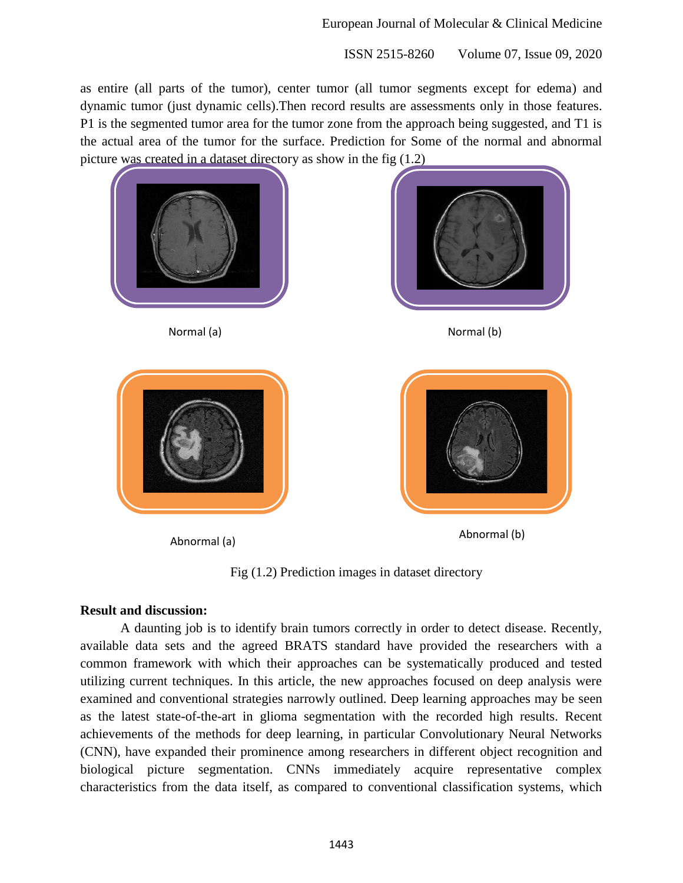as entire (all parts of the tumor), center tumor (all tumor segments except for edema) and dynamic tumor (just dynamic cells).Then record results are assessments only in those features. P1 is the segmented tumor area for the tumor zone from the approach being suggested, and T1 is the actual area of the tumor for the surface. Prediction for Some of the normal and abnormal picture was created in a dataset directory as show in the fig (1.2)





Normal (a) Normal (b)





Abnormal (a) and the contraction of the Abnormal (b) Abnormal (b)

Fig (1.2) Prediction images in dataset directory

# **Result and discussion:**

A daunting job is to identify brain tumors correctly in order to detect disease. Recently, available data sets and the agreed BRATS standard have provided the researchers with a common framework with which their approaches can be systematically produced and tested utilizing current techniques. In this article, the new approaches focused on deep analysis were examined and conventional strategies narrowly outlined. Deep learning approaches may be seen as the latest state-of-the-art in glioma segmentation with the recorded high results. Recent achievements of the methods for deep learning, in particular Convolutionary Neural Networks (CNN), have expanded their prominence among researchers in different object recognition and biological picture segmentation. CNNs immediately acquire representative complex characteristics from the data itself, as compared to conventional classification systems, which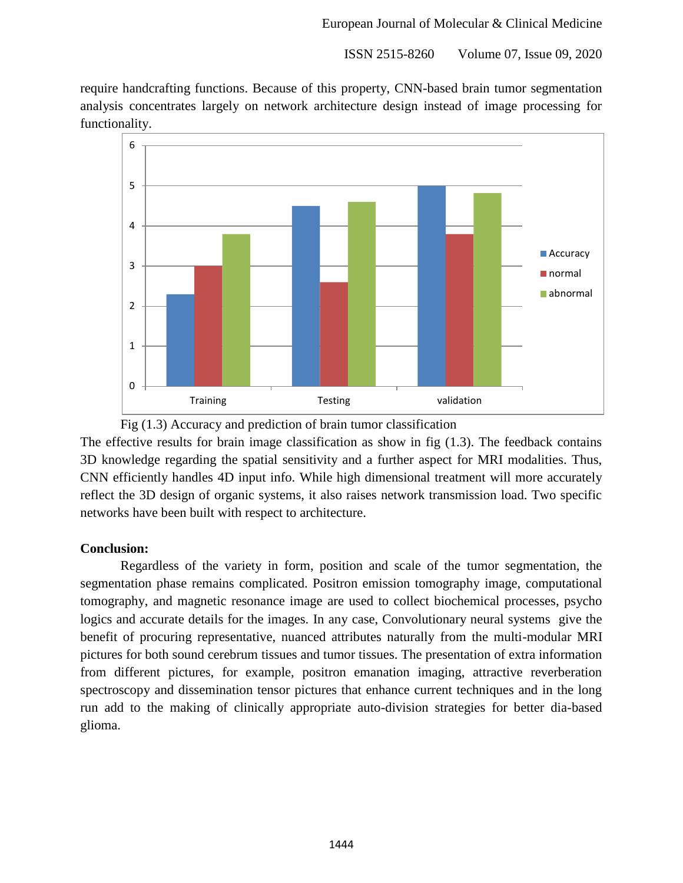require handcrafting functions. Because of this property, CNN-based brain tumor segmentation analysis concentrates largely on network architecture design instead of image processing for functionality.





The effective results for brain image classification as show in fig  $(1.3)$ . The feedback contains 3D knowledge regarding the spatial sensitivity and a further aspect for MRI modalities. Thus, CNN efficiently handles 4D input info. While high dimensional treatment will more accurately reflect the 3D design of organic systems, it also raises network transmission load. Two specific networks have been built with respect to architecture.

# **Conclusion:**

Regardless of the variety in form, position and scale of the tumor segmentation, the segmentation phase remains complicated. Positron emission tomography image, computational tomography, and magnetic resonance image are used to collect biochemical processes, psycho logics and accurate details for the images. In any case, Convolutionary neural systems give the benefit of procuring representative, nuanced attributes naturally from the multi-modular MRI pictures for both sound cerebrum tissues and tumor tissues. The presentation of extra information from different pictures, for example, positron emanation imaging, attractive reverberation spectroscopy and dissemination tensor pictures that enhance current techniques and in the long run add to the making of clinically appropriate auto-division strategies for better dia-based glioma.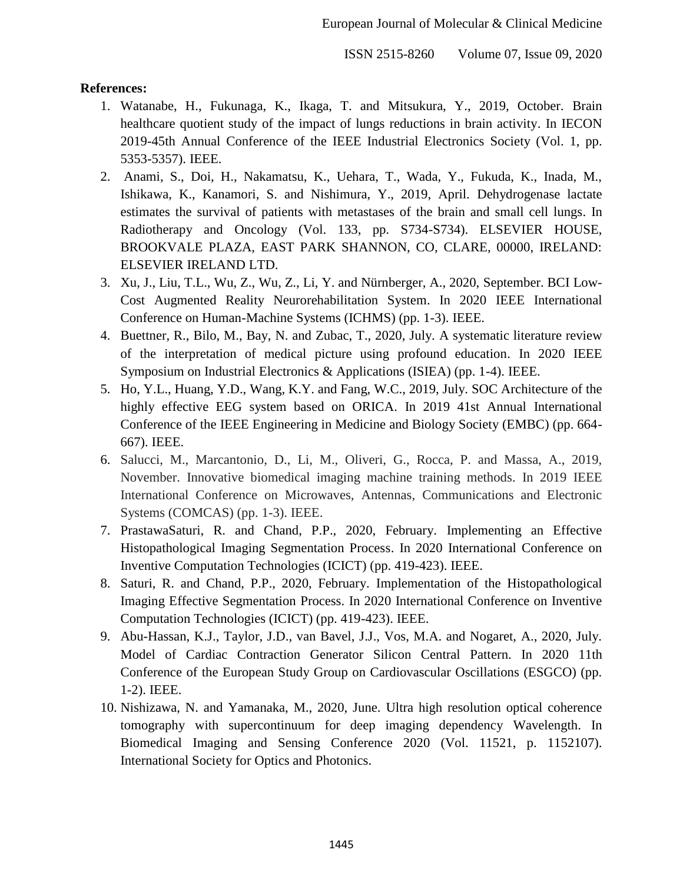#### **References:**

- 1. Watanabe, H., Fukunaga, K., Ikaga, T. and Mitsukura, Y., 2019, October. Brain healthcare quotient study of the impact of lungs reductions in brain activity. In IECON 2019-45th Annual Conference of the IEEE Industrial Electronics Society (Vol. 1, pp. 5353-5357). IEEE.
- 2. Anami, S., Doi, H., Nakamatsu, K., Uehara, T., Wada, Y., Fukuda, K., Inada, M., Ishikawa, K., Kanamori, S. and Nishimura, Y., 2019, April. Dehydrogenase lactate estimates the survival of patients with metastases of the brain and small cell lungs. In Radiotherapy and Oncology (Vol. 133, pp. S734-S734). ELSEVIER HOUSE, BROOKVALE PLAZA, EAST PARK SHANNON, CO, CLARE, 00000, IRELAND: ELSEVIER IRELAND LTD.
- 3. Xu, J., Liu, T.L., Wu, Z., Wu, Z., Li, Y. and Nürnberger, A., 2020, September. BCI Low-Cost Augmented Reality Neurorehabilitation System. In 2020 IEEE International Conference on Human-Machine Systems (ICHMS) (pp. 1-3). IEEE.
- 4. Buettner, R., Bilo, M., Bay, N. and Zubac, T., 2020, July. A systematic literature review of the interpretation of medical picture using profound education. In 2020 IEEE Symposium on Industrial Electronics & Applications (ISIEA) (pp. 1-4). IEEE.
- 5. Ho, Y.L., Huang, Y.D., Wang, K.Y. and Fang, W.C., 2019, July. SOC Architecture of the highly effective EEG system based on ORICA. In 2019 41st Annual International Conference of the IEEE Engineering in Medicine and Biology Society (EMBC) (pp. 664- 667). IEEE.
- 6. Salucci, M., Marcantonio, D., Li, M., Oliveri, G., Rocca, P. and Massa, A., 2019, November. Innovative biomedical imaging machine training methods. In 2019 IEEE International Conference on Microwaves, Antennas, Communications and Electronic Systems (COMCAS) (pp. 1-3). IEEE.
- 7. PrastawaSaturi, R. and Chand, P.P., 2020, February. Implementing an Effective Histopathological Imaging Segmentation Process. In 2020 International Conference on Inventive Computation Technologies (ICICT) (pp. 419-423). IEEE.
- 8. Saturi, R. and Chand, P.P., 2020, February. Implementation of the Histopathological Imaging Effective Segmentation Process. In 2020 International Conference on Inventive Computation Technologies (ICICT) (pp. 419-423). IEEE.
- 9. Abu-Hassan, K.J., Taylor, J.D., van Bavel, J.J., Vos, M.A. and Nogaret, A., 2020, July. Model of Cardiac Contraction Generator Silicon Central Pattern. In 2020 11th Conference of the European Study Group on Cardiovascular Oscillations (ESGCO) (pp. 1-2). IEEE.
- 10. Nishizawa, N. and Yamanaka, M., 2020, June. Ultra high resolution optical coherence tomography with supercontinuum for deep imaging dependency Wavelength. In Biomedical Imaging and Sensing Conference 2020 (Vol. 11521, p. 1152107). International Society for Optics and Photonics.